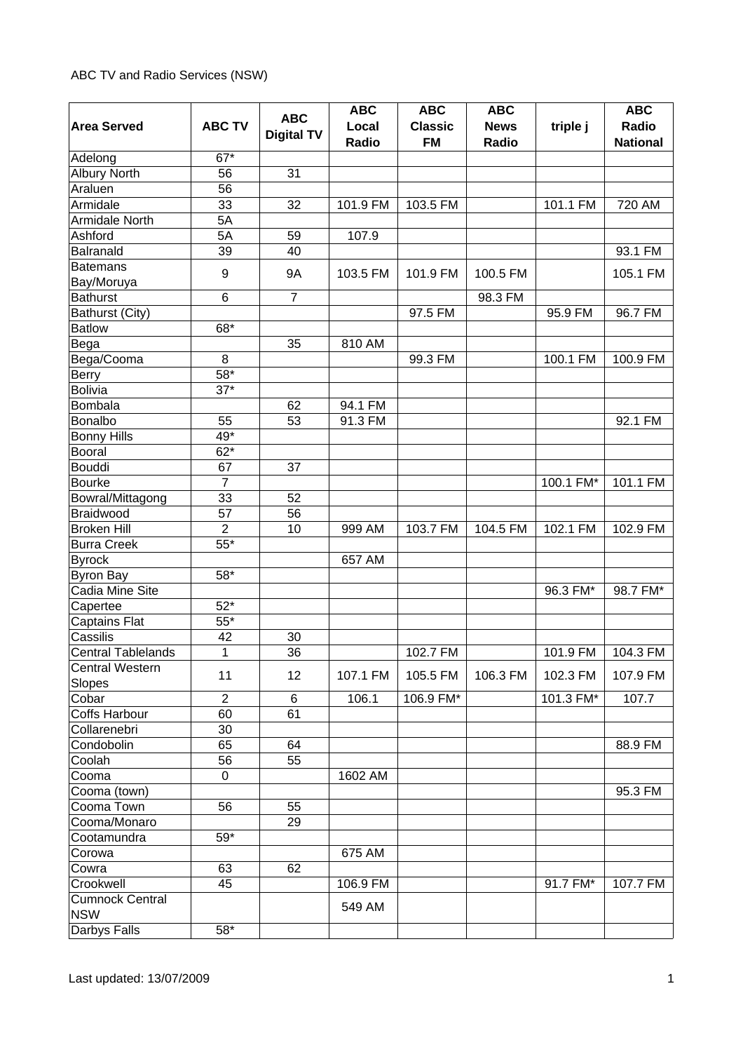|                                       |                |                   | <b>ABC</b> | <b>ABC</b>     | <b>ABC</b>  |           | <b>ABC</b>      |
|---------------------------------------|----------------|-------------------|------------|----------------|-------------|-----------|-----------------|
| <b>Area Served</b>                    | <b>ABC TV</b>  | <b>ABC</b>        | Local      | <b>Classic</b> | <b>News</b> | triple j  | Radio           |
|                                       |                | <b>Digital TV</b> | Radio      | <b>FM</b>      | Radio       |           | <b>National</b> |
| Adelong                               | $67*$          |                   |            |                |             |           |                 |
| <b>Albury North</b>                   | 56             | 31                |            |                |             |           |                 |
| Araluen                               | 56             |                   |            |                |             |           |                 |
| Armidale                              | 33             | 32                | 101.9 FM   | 103.5 FM       |             | 101.1 FM  | 720 AM          |
| Armidale North                        | 5A             |                   |            |                |             |           |                 |
| Ashford                               | 5A             | 59                | 107.9      |                |             |           |                 |
| Balranald                             | 39             | 40                |            |                |             |           | 93.1 FM         |
| <b>Batemans</b>                       |                |                   |            |                |             |           |                 |
| Bay/Moruya                            | 9              | <b>9A</b>         | 103.5 FM   | 101.9 FM       | 100.5 FM    |           | 105.1 FM        |
| <b>Bathurst</b>                       | 6              | $\overline{7}$    |            |                | 98.3 FM     |           |                 |
| Bathurst (City)                       |                |                   |            | 97.5 FM        |             | 95.9 FM   | 96.7 FM         |
| <b>Batlow</b>                         | 68*            |                   |            |                |             |           |                 |
| Bega                                  |                | 35                | 810 AM     |                |             |           |                 |
| Bega/Cooma                            | 8              |                   |            | 99.3 FM        |             | 100.1 FM  | 100.9 FM        |
| <b>Berry</b>                          | $58*$          |                   |            |                |             |           |                 |
| <b>Bolivia</b>                        | $37*$          |                   |            |                |             |           |                 |
| Bombala                               |                | 62                | 94.1 FM    |                |             |           |                 |
| Bonalbo                               | 55             | 53                | 91.3 FM    |                |             |           | 92.1 FM         |
| <b>Bonny Hills</b>                    | 49*            |                   |            |                |             |           |                 |
| Booral                                | $62*$          |                   |            |                |             |           |                 |
| <b>Bouddi</b>                         | 67             | 37                |            |                |             |           |                 |
| <b>Bourke</b>                         | $\overline{7}$ |                   |            |                |             | 100.1 FM* | 101.1 FM        |
| Bowral/Mittagong                      | 33             | 52                |            |                |             |           |                 |
| Braidwood                             | 57             | 56                |            |                |             |           |                 |
| <b>Broken Hill</b>                    | $\overline{2}$ | 10                | 999 AM     | 103.7 FM       | 104.5 FM    | 102.1 FM  | 102.9 FM        |
| <b>Burra Creek</b>                    | $55*$          |                   |            |                |             |           |                 |
|                                       |                |                   | 657 AM     |                |             |           |                 |
| <b>Byrock</b>                         | 58*            |                   |            |                |             |           |                 |
| <b>Byron Bay</b><br>Cadia Mine Site   |                |                   |            |                |             | 96.3 FM*  | 98.7 FM*        |
|                                       | $52*$          |                   |            |                |             |           |                 |
| Capertee                              | $55*$          |                   |            |                |             |           |                 |
| <b>Captains Flat</b>                  | 42             |                   |            |                |             |           |                 |
| Cassilis<br><b>Central Tablelands</b> |                | 30<br>36          |            | 102.7 FM       |             |           | 104.3 FM        |
|                                       | 1              |                   |            |                |             | 101.9 FM  |                 |
| <b>Central Western</b>                | 11             | 12                | 107.1 FM   | 105.5 FM       | 106.3 FM    | 102.3 FM  | 107.9 FM        |
| Slopes                                | $\overline{2}$ |                   |            |                |             |           |                 |
| Cobar                                 |                | 6                 | 106.1      | 106.9 FM*      |             | 101.3 FM* | 107.7           |
| <b>Coffs Harbour</b>                  | 60             | 61                |            |                |             |           |                 |
| Collarenebri                          | 30             |                   |            |                |             |           |                 |
| Condobolin                            | 65             | 64                |            |                |             |           | 88.9 FM         |
| Coolah                                | 56             | 55                |            |                |             |           |                 |
| Cooma                                 | $\Omega$       |                   | 1602 AM    |                |             |           |                 |
| Cooma (town)                          |                |                   |            |                |             |           | 95.3 FM         |
| Cooma Town                            | 56             | 55                |            |                |             |           |                 |
| Cooma/Monaro                          |                | 29                |            |                |             |           |                 |
| Cootamundra                           | $59*$          |                   |            |                |             |           |                 |
| Corowa                                |                |                   | 675 AM     |                |             |           |                 |
| Cowra                                 | 63             | 62                |            |                |             |           |                 |
| Crookwell                             | 45             |                   | 106.9 FM   |                |             | 91.7 FM*  | 107.7 FM        |
| <b>Cumnock Central</b>                |                |                   | 549 AM     |                |             |           |                 |
| <b>NSW</b>                            |                |                   |            |                |             |           |                 |
| Darbys Falls                          | $58*$          |                   |            |                |             |           |                 |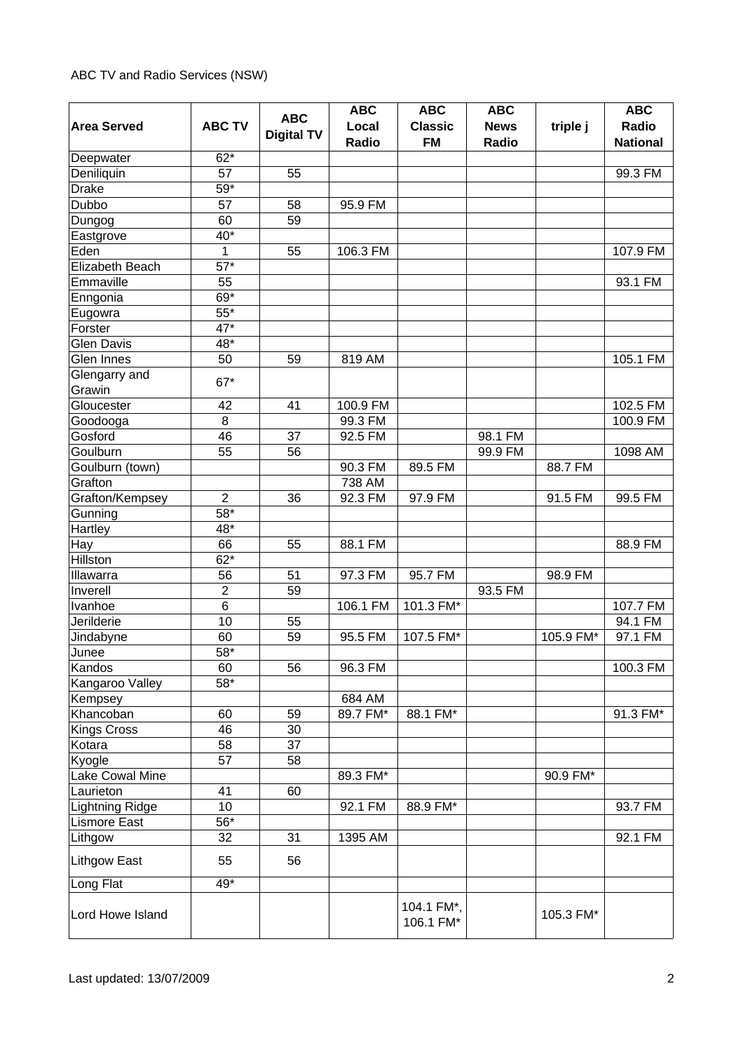| <b>Area Served</b>  | <b>ABC TV</b>     | <b>ABC</b>        | <b>ABC</b><br>Local  | <b>ABC</b><br><b>Classic</b> | <b>ABC</b><br><b>News</b> | triple j  | <b>ABC</b><br>Radio |
|---------------------|-------------------|-------------------|----------------------|------------------------------|---------------------------|-----------|---------------------|
|                     |                   | <b>Digital TV</b> | Radio                | <b>FM</b>                    | Radio                     |           | <b>National</b>     |
| Deepwater           | $62*$             |                   |                      |                              |                           |           |                     |
| Deniliquin          | 57                | 55                |                      |                              |                           |           | 99.3 FM             |
| <b>Drake</b>        | $59*$             |                   |                      |                              |                           |           |                     |
| Dubbo               | 57                | 58                | 95.9 FM              |                              |                           |           |                     |
| Dungog              | 60                | 59                |                      |                              |                           |           |                     |
| Eastgrove           | $40*$             |                   |                      |                              |                           |           |                     |
| Eden                | 1                 | 55                | 106.3 FM             |                              |                           |           | 107.9 FM            |
| Elizabeth Beach     | $\overline{57}^*$ |                   |                      |                              |                           |           |                     |
| Emmaville           | 55                |                   |                      |                              |                           |           | 93.1 FM             |
| Enngonia            | $69*$             |                   |                      |                              |                           |           |                     |
| Eugowra             | $55*$             |                   |                      |                              |                           |           |                     |
| Forster             | $47*$             |                   |                      |                              |                           |           |                     |
| <b>Glen Davis</b>   | 48*               |                   |                      |                              |                           |           |                     |
| Glen Innes          | 50                | 59                | 819 AM               |                              |                           |           | 105.1 FM            |
| Glengarry and       | 67*               |                   |                      |                              |                           |           |                     |
| Grawin              |                   |                   |                      |                              |                           |           |                     |
| Gloucester          | 42                | 41                | 100.9 FM             |                              |                           |           | 102.5 FM            |
| Goodooga            | 8                 |                   | $\overline{9}9.3$ FM |                              |                           |           | 100.9 FM            |
| Gosford             | 46                | 37                | 92.5 FM              |                              | 98.1 FM                   |           |                     |
| Goulburn            | 55                | 56                |                      |                              | 99.9 FM                   |           | 1098 AM             |
| Goulburn (town)     |                   |                   | 90.3 FM              | 89.5 FM                      |                           | 88.7 FM   |                     |
| Grafton             |                   |                   | 738 AM               |                              |                           |           |                     |
| Grafton/Kempsey     | $\overline{2}$    | 36                | 92.3 FM              | 97.9 FM                      |                           | 91.5 FM   | 99.5 FM             |
| Gunning             | 58*               |                   |                      |                              |                           |           |                     |
| Hartley             | 48*               |                   |                      |                              |                           |           |                     |
| Hay                 | 66                | 55                | 88.1 FM              |                              |                           |           | 88.9 FM             |
| Hillston            | $62*$             |                   |                      |                              |                           |           |                     |
| Illawarra           | 56                | 51                | 97.3 FM              | 95.7 FM                      |                           | 98.9 FM   |                     |
| Inverell            | $\overline{2}$    | 59                |                      |                              | 93.5 FM                   |           |                     |
| Ivanhoe             | $\,6$             |                   | 106.1 FM             | 101.3 FM*                    |                           |           | 107.7 FM            |
| Jerilderie          | 10                | 55                |                      |                              |                           |           | 94.1 FM             |
| Jindabyne           | 60                | 59                | 95.5 FM              | 107.5 FM*                    |                           | 105.9 FM* | 97.1 FM             |
| Junee               | 58*               |                   |                      |                              |                           |           |                     |
| Kandos              | 60                | 56                | 96.3 FM              |                              |                           |           | 100.3 FM            |
| Kangaroo Valley     | 58*               |                   |                      |                              |                           |           |                     |
| Kempsey             |                   |                   | 684 AM               |                              |                           |           |                     |
| Khancoban           | 60                | 59                | 89.7 FM*             | 88.1 FM*                     |                           |           | 91.3 FM*            |
| <b>Kings Cross</b>  | 46                | 30                |                      |                              |                           |           |                     |
| Kotara              | 58                | 37                |                      |                              |                           |           |                     |
| Kyogle              | 57                | 58                |                      |                              |                           |           |                     |
| Lake Cowal Mine     |                   |                   | 89.3 FM*             |                              |                           | 90.9 FM*  |                     |
| Laurieton           | 41                | 60                |                      |                              |                           |           |                     |
| Lightning Ridge     | 10                |                   | 92.1 FM              | 88.9 FM*                     |                           |           | 93.7 FM             |
| <b>Lismore East</b> | $56*$             |                   |                      |                              |                           |           |                     |
| Lithgow             | 32                | 31                | 1395 AM              |                              |                           |           | 92.1 FM             |
| <b>Lithgow East</b> | 55                | 56                |                      |                              |                           |           |                     |
| Long Flat           | 49*               |                   |                      |                              |                           |           |                     |
| Lord Howe Island    |                   |                   |                      | 104.1 FM*,<br>106.1 FM*      |                           | 105.3 FM* |                     |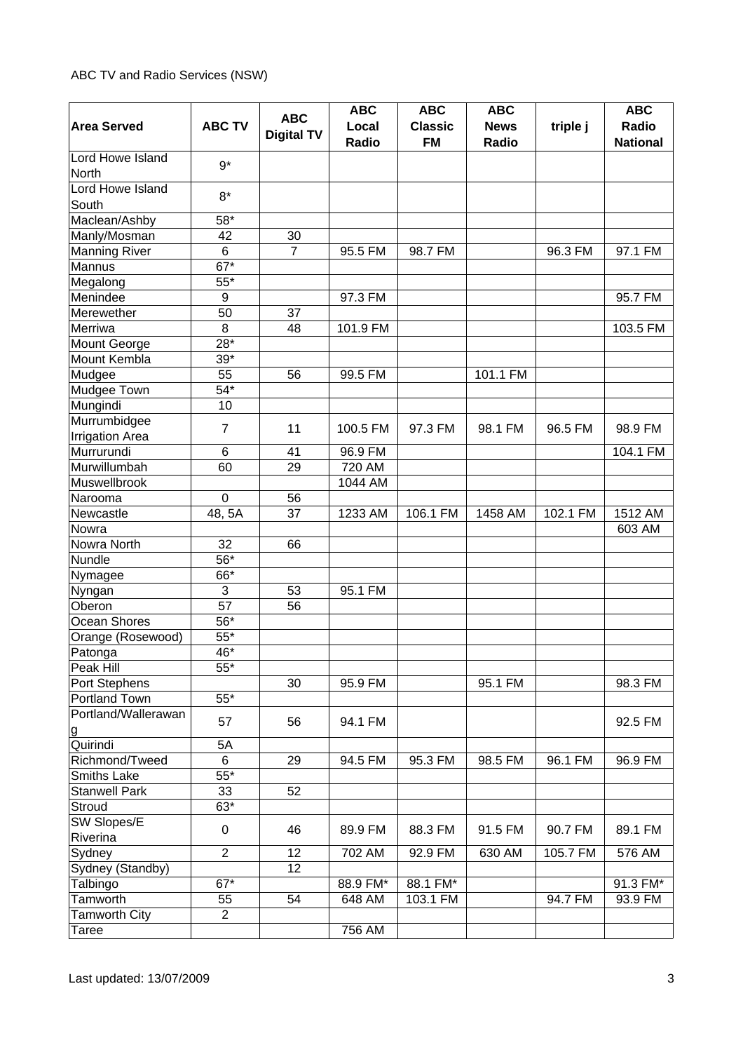|                                       |                   |                   | <b>ABC</b> | <b>ABC</b>     | <b>ABC</b>  |          | <b>ABC</b>      |
|---------------------------------------|-------------------|-------------------|------------|----------------|-------------|----------|-----------------|
| <b>Area Served</b>                    | <b>ABC TV</b>     | <b>ABC</b>        | Local      | <b>Classic</b> | <b>News</b> | triple j | Radio           |
|                                       |                   | <b>Digital TV</b> | Radio      | <b>FM</b>      | Radio       |          | <b>National</b> |
| Lord Howe Island                      | $9*$              |                   |            |                |             |          |                 |
| North                                 |                   |                   |            |                |             |          |                 |
| Lord Howe Island                      | $8*$              |                   |            |                |             |          |                 |
| South                                 |                   |                   |            |                |             |          |                 |
| Maclean/Ashby                         | 58*               |                   |            |                |             |          |                 |
| Manly/Mosman                          | 42                | 30                |            |                |             |          |                 |
| <b>Manning River</b>                  | $\,6$             | $\overline{7}$    | 95.5 FM    | 98.7 FM        |             | 96.3 FM  | 97.1 FM         |
| Mannus                                | $\overline{67}^*$ |                   |            |                |             |          |                 |
| Megalong                              | $55*$             |                   |            |                |             |          |                 |
| Menindee                              | 9                 |                   | 97.3 FM    |                |             |          | 95.7 FM         |
| Merewether                            | 50                | 37                |            |                |             |          |                 |
| Merriwa                               | 8                 | 48                | 101.9 FM   |                |             |          | 103.5 FM        |
| Mount George                          | $28*$             |                   |            |                |             |          |                 |
| Mount Kembla                          | $39*$             |                   |            |                |             |          |                 |
| Mudgee                                | 55                | 56                | 99.5 FM    |                | 101.1 FM    |          |                 |
| Mudgee Town                           | $54*$             |                   |            |                |             |          |                 |
| Mungindi                              | 10                |                   |            |                |             |          |                 |
| Murrumbidgee                          | $\overline{7}$    | 11                | 100.5 FM   | 97.3 FM        | 98.1 FM     | 96.5 FM  | 98.9 FM         |
| <b>Irrigation Area</b>                |                   |                   |            |                |             |          |                 |
| Murrurundi                            | $6\phantom{1}$    | 41                | 96.9 FM    |                |             |          | 104.1 FM        |
| Murwillumbah                          | 60                | 29                | 720 AM     |                |             |          |                 |
| Muswellbrook                          |                   |                   | 1044 AM    |                |             |          |                 |
| Narooma                               | $\mathbf 0$       | 56                |            |                |             |          |                 |
| Newcastle                             | 48, 5A            | 37                | 1233 AM    | 106.1 FM       | 1458 AM     | 102.1 FM | 1512 AM         |
| Nowra                                 |                   |                   |            |                |             |          | 603 AM          |
| Nowra North                           | 32                | 66                |            |                |             |          |                 |
| Nundle                                | 56*               |                   |            |                |             |          |                 |
| Nymagee                               | 66*               |                   |            |                |             |          |                 |
| Nyngan                                | 3                 | 53                | 95.1 FM    |                |             |          |                 |
| Oberon                                | 57                | 56                |            |                |             |          |                 |
| Ocean Shores                          | 56*               |                   |            |                |             |          |                 |
| Orange (Rosewood)                     | $55*$             |                   |            |                |             |          |                 |
| Patonga                               | 46*               |                   |            |                |             |          |                 |
| Peak Hill                             | $55*$             |                   |            |                |             |          |                 |
| Port Stephens                         |                   | 30                | 95.9 FM    |                | 95.1 FM     |          | 98.3 FM         |
| Portland Town                         | $55*$             |                   |            |                |             |          |                 |
| Portland/Wallerawan<br>$\overline{g}$ | 57                | 56                | 94.1 FM    |                |             |          | 92.5 FM         |
| Quirindi                              | 5A                |                   |            |                |             |          |                 |
| Richmond/Tweed                        | 6                 | 29                | 94.5 FM    | 95.3 FM        | 98.5 FM     | 96.1 FM  | 96.9 FM         |
| Smiths Lake                           | $55*$             |                   |            |                |             |          |                 |
| <b>Stanwell Park</b>                  | 33                | 52                |            |                |             |          |                 |
| Stroud                                | $63*$             |                   |            |                |             |          |                 |
| SW Slopes/E                           |                   |                   |            |                |             |          |                 |
| Riverina                              | $\mathbf 0$       | 46                | 89.9 FM    | 88.3 FM        | 91.5 FM     | 90.7 FM  | 89.1 FM         |
| Sydney                                | $\overline{2}$    | 12                | 702 AM     | 92.9 FM        | 630 AM      | 105.7 FM | 576 AM          |
| Sydney (Standby)                      |                   | 12                |            |                |             |          |                 |
| Talbingo                              | $67*$             |                   | 88.9 FM*   | 88.1 FM*       |             |          | 91.3 FM*        |
| Tamworth                              | 55                | 54                | 648 AM     | 103.1 FM       |             | 94.7 FM  | 93.9 FM         |
| <b>Tamworth City</b>                  | $\overline{2}$    |                   |            |                |             |          |                 |
| Taree                                 |                   |                   | 756 AM     |                |             |          |                 |